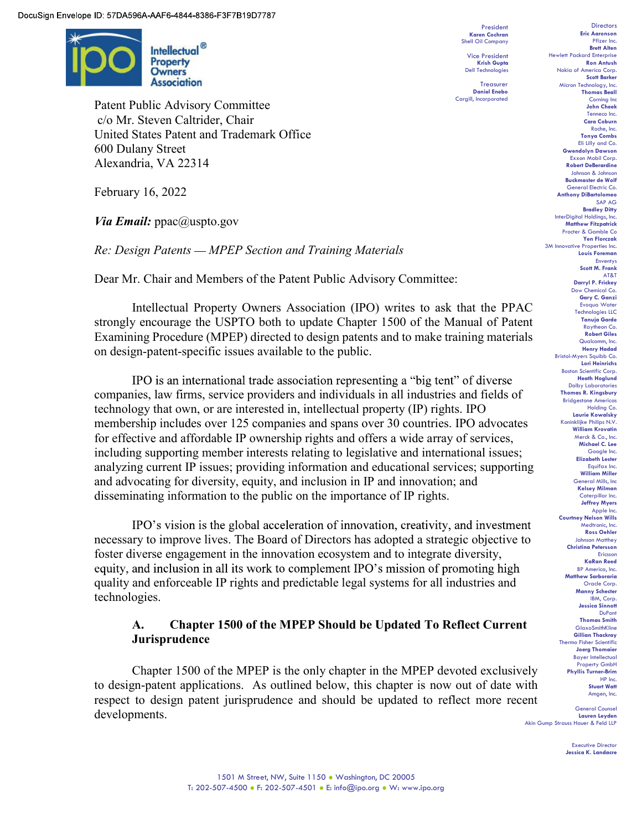

Patent Public Advisory Committee c/o Mr. Steven Caltrider, Chair United States Patent and Trademark Office 600 Dulany Street Alexandria, VA 22314

February 16, 2022

*Via Email:*  $ppac@$ uspto.gov

Re: Design Patents – MPEP Section and Training Materials

Dear Mr. Chair and Members of the Patent Public Advisory Committee:

Intellectual Property Owners Association (IPO) writes to ask that the PPAC strongly encourage the USPTO both to update Chapter 1500 of the Manual of Patent Examining Procedure (MPEP) directed to design patents and to make training materials on design-patent-specific issues available to the public.

IPO is an international trade association representing a "big tent" of diverse companies, law firms, service providers and individuals in all industries and fields of technology that own, or are interested in, intellectual property (IP) rights. IPO membership includes over 125 companies and spans over 30 countries. IPO advocates for effective and affordable IP ownership rights and offers a wide array of services, including supporting member interests relating to legislative and international issues; analyzing current IP issues; providing information and educational services; supporting and advocating for diversity, equity, and inclusion in IP and innovation; and disseminating information to the public on the importance of IP rights.

IPO's vision is the global acceleration of innovation, creativity, and investment necessary to improve lives. The Board of Directors has adopted a strategic objective to foster diverse engagement in the innovation ecosystem and to integrate diversity, equity, and inclusion in all its work to complement IPO's mission of promoting high quality and enforceable IP rights and predictable legal systems for all industries and technologies.

## A. Chapter 1500 of the MPEP Should be Updated To Reflect Current Jurisprudence

 Chapter 1500 of the MPEP is the only chapter in the MPEP devoted exclusively to design-patent applications. As outlined below, this chapter is now out of date with respect to design patent jurisprudence and should be updated to reflect more recent developments.

Treasurer Daniel Enebo

President Directors<br>
President Directors<br> **Eric Aaronson** Karen Cochran Shell Oil Company Vice President Mewlett Packard Enterprise<br>Krish Gupta Mewlett Packard Ron Antush Krish Gupta **Krish Gupta** Ron Antush Dell Technologies Nokia of America Corp. Nokia of America Corp.<br>Scott Barker President<br>
Care Aaronson Reic Aaronson<br>
Shell Oil Company<br>
Pfizer Inc. Brett Alten<br>
Cive President<br>
Richard Corp. Brett Packard Enterprise<br>
Ron Antush Nokia of America Corp.<br>
Scott Barker<br>
There are the Shell Corp. Scott B John Cheek Tenneco Inc. Cara Coburn Roche, Inc. Tonya Combs Eli Lilly and Co. Gwendolyn Dawson Exxon Mobil Corp. Robert DeBerardine Johnson & Johnson Buckmaster de Wolf General Electric Co. Anthony DiBartolomeo SAP AG **Bradley Ditty** InterDigital Holdings, Inc. Matthew Fitzpatrick Procter & Gamble Co Yen Florczak 3M Innovative Properties Inc. Louis Foreman Enventys Scott M. Frank AT&T Darryl P. Frickey Dow Chemical Co. Gary C. Ganzi Evoqua Water Technologies LLC Tanuja Garde Raytheon Co. Robert Giles Qualcomm, Inc. Henry Hadad Bristol-Myers Squibb Co. Lori Heinrichs Boston Scientific Corp. Heath Hoglund Dolby Laboratories Thomas R. Kingsbury Bridgestone Americas Holding Co. Laurie Kowalsky Koninklijke Philips N.V. William Krovatin Merck & Co., Inc. Michael C. Lee Google Inc. Elizabeth Lester Equifax Inc. William Miller General Mills, Inc Kelsey Milman Caterpillar Inc. Jeffrey Myers Apple Inc. Courtney Nelson Wills Medtronic, Inc. Ross Oehler Johnson Matthey Christina Petersson Ericsson KaRan Reed BP America, Inc. Matthew Sarboraria Oracle Corp. Manny Schecter IBM, Corp. Jessica Sinnott DuPont Thomas Smith **GlaxoSmithKline** Gillian Thackray Thermo Fisher Scientific Joerg Thomaier Bayer Intellectual Property GmbH Phyllis Turner-Brim HP Inc. Stuart Watt Amgen, Inc.<br>General Counsel

Lauren Leyden Akin Gump Strauss Hauer & Feld LLP Executive Director

Jessica K. Landacre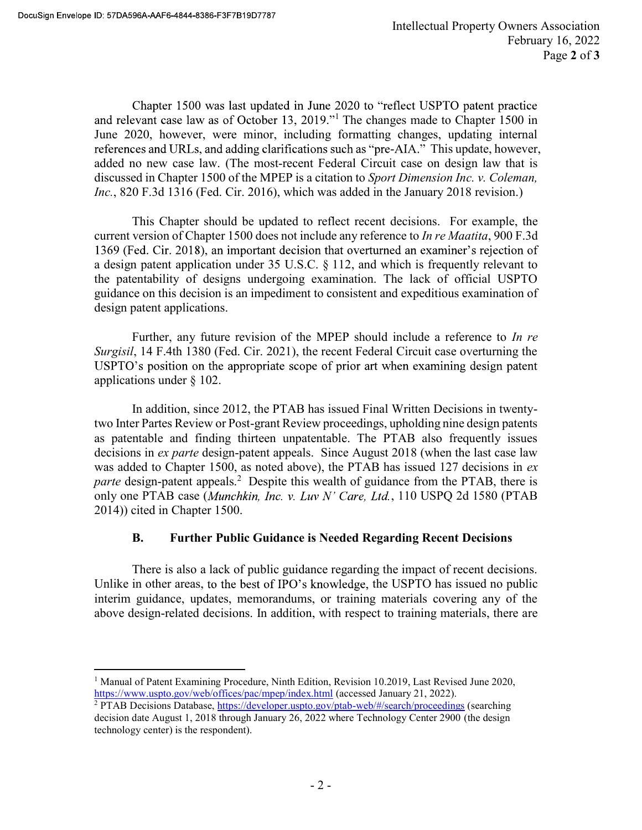Chapter 1500 was last updated in June 2020 to "reflect USPTO patent practice" <sup>1</sup> The changes made to Chapter 1500 in June 2020, however, were minor, including formatting changes, updating internal references and URLs, and adding clarifications such as "pre-AIA." This update, however, added no new case law. (The most-recent Federal Circuit case on design law that is discussed in Chapter 1500 of the MPEP is a citation to Sport Dimension Inc. v. Coleman, Inc., 820 F.3d 1316 (Fed. Cir. 2016), which was added in the January 2018 revision.)

This Chapter should be updated to reflect recent decisions. For example, the current version of Chapter 1500 does not include any reference to *In re Maatita*, 900 F.3d 1369 (Fed. Cir. 2018), an important decision that overturned an examiner's rejection of a design patent application under 35 U.S.C. § 112, and which is frequently relevant to the patentability of designs undergoing examination. The lack of official USPTO guidance on this decision is an impediment to consistent and expeditious examination of design patent applications.

 Further, any future revision of the MPEP should include a reference to In re Surgisil, 14 F.4th 1380 (Fed. Cir. 2021), the recent Federal Circuit case overturning the USPTO's position on the appropriate scope of prior art when examining design patent applications under § 102.

 In addition, since 2012, the PTAB has issued Final Written Decisions in twentytwo Inter Partes Review or Post-grant Review proceedings, upholding nine design patents as patentable and finding thirteen unpatentable. The PTAB also frequently issues decisions in *ex parte* design-patent appeals. Since August 2018 (when the last case law was added to Chapter 1500, as noted above), the PTAB has issued 127 decisions in ex parte design-patent appeals.<sup>2</sup> Despite this wealth of guidance from the PTAB, there is only one PTAB case (Munchkin, Inc. v. Luv N' Care, Ltd., 110 USPQ 2d 1580 (PTAB 2014)) cited in Chapter 1500.

## B. Further Public Guidance is Needed Regarding Recent Decisions

 There is also a lack of public guidance regarding the impact of recent decisions. Unlike in other areas, to the best of IPO's knowledge, the USPTO has issued no public interim guidance, updates, memorandums, or training materials covering any of the above design-related decisions. In addition, with respect to training materials, there are

 <sup>1</sup> Manual of Patent Examining Procedure, Ninth Edition, Revision 10.2019, Last Revised June 2020, https://www.uspto.gov/web/offices/pac/mpep/index.html (accessed January 21, 2022).

<sup>&</sup>lt;sup>2</sup> PTAB Decisions Database, https://developer.uspto.gov/ptab-web/#/search/proceedings (searching decision date August 1, 2018 through January 26, 2022 where Technology Center 2900 (the design technology center) is the respondent).